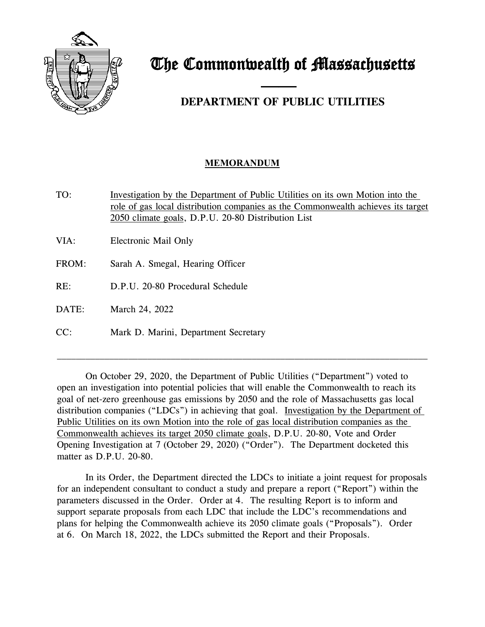

## The Commonwealth of Massachusetts

## and the contract of the contract of **DEPARTMENT OF PUBLIC UTILITIES**

## **MEMORANDUM**

TO: Investigation by the Department of Public Utilities on its own Motion into the role of gas local distribution companies as the Commonwealth achieves its target 2050 climate goals, D.P.U. 20-80 Distribution List

VIA: Electronic Mail Only

- FROM: Sarah A. Smegal, Hearing Officer
- RE: D.P.U. 20-80 Procedural Schedule

DATE: March 24, 2022

CC: Mark D. Marini, Department Secretary

On October 29, 2020, the Department of Public Utilities ("Department") voted to open an investigation into potential policies that will enable the Commonwealth to reach its goal of net-zero greenhouse gas emissions by 2050 and the role of Massachusetts gas local distribution companies ("LDCs") in achieving that goal. Investigation by the Department of Public Utilities on its own Motion into the role of gas local distribution companies as the Commonwealth achieves its target 2050 climate goals, D.P.U. 20-80, Vote and Order Opening Investigation at 7 (October 29, 2020) ("Order"). The Department docketed this matter as D.P.U. 20-80.

\_\_\_\_\_\_\_\_\_\_\_\_\_\_\_\_\_\_\_\_\_\_\_\_\_\_\_\_\_\_\_\_\_\_\_\_\_\_\_\_\_\_\_\_\_\_\_\_\_\_\_\_\_\_\_\_\_\_\_\_\_\_\_\_\_\_\_\_\_\_\_\_\_\_\_\_\_\_

In its Order, the Department directed the LDCs to initiate a joint request for proposals for an independent consultant to conduct a study and prepare a report ("Report") within the parameters discussed in the Order. Order at 4. The resulting Report is to inform and support separate proposals from each LDC that include the LDC's recommendations and plans for helping the Commonwealth achieve its 2050 climate goals ("Proposals"). Order at 6. On March 18, 2022, the LDCs submitted the Report and their Proposals.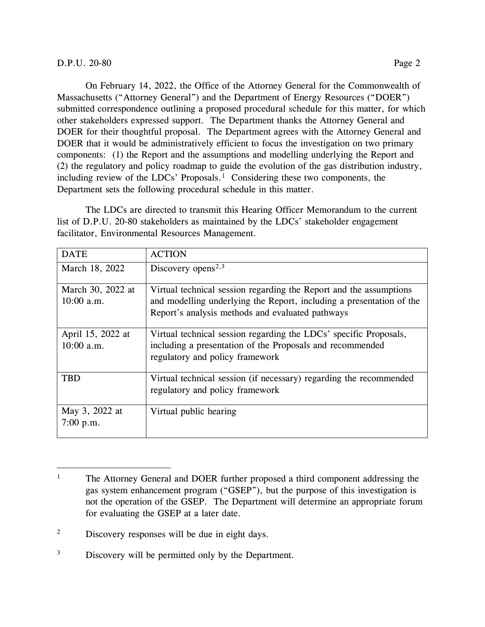## D.P.U. 20-80 Page 2

On February 14, 2022, the Office of the Attorney General for the Commonwealth of Massachusetts ("Attorney General") and the Department of Energy Resources ("DOER") submitted correspondence outlining a proposed procedural schedule for this matter, for which other stakeholders expressed support. The Department thanks the Attorney General and DOER for their thoughtful proposal. The Department agrees with the Attorney General and DOER that it would be administratively efficient to focus the investigation on two primary components: (1) the Report and the assumptions and modelling underlying the Report and (2) the regulatory and policy roadmap to guide the evolution of the gas distribution industry, including review of the LDCs' Proposals.<sup>[1](#page-1-0)</sup> Considering these two components, the Department sets the following procedural schedule in this matter.

The LDCs are directed to transmit this Hearing Officer Memorandum to the current list of D.P.U. 20-80 stakeholders as maintained by the LDCs' stakeholder engagement facilitator, Environmental Resources Management.

| <b>DATE</b>                       | <b>ACTION</b>                                                                                                                                                                                  |
|-----------------------------------|------------------------------------------------------------------------------------------------------------------------------------------------------------------------------------------------|
| March 18, 2022                    | Discovery opens <sup>2,3</sup>                                                                                                                                                                 |
| March 30, 2022 at<br>$10:00$ a.m. | Virtual technical session regarding the Report and the assumptions<br>and modelling underlying the Report, including a presentation of the<br>Report's analysis methods and evaluated pathways |
| April 15, 2022 at<br>$10:00$ a.m. | Virtual technical session regarding the LDCs' specific Proposals,<br>including a presentation of the Proposals and recommended<br>regulatory and policy framework                              |
| TBD                               | Virtual technical session (if necessary) regarding the recommended<br>regulatory and policy framework                                                                                          |
| May 3, 2022 at<br>7:00 p.m.       | Virtual public hearing                                                                                                                                                                         |

<span id="page-1-0"></span><sup>&</sup>lt;sup>1</sup> The Attorney General and DOER further proposed a third component addressing the gas system enhancement program ("GSEP"), but the purpose of this investigation is not the operation of the GSEP. The Department will determine an appropriate forum for evaluating the GSEP at a later date.

<span id="page-1-1"></span><sup>&</sup>lt;sup>2</sup> Discovery responses will be due in eight days.

<span id="page-1-2"></span><sup>&</sup>lt;sup>3</sup> Discovery will be permitted only by the Department.